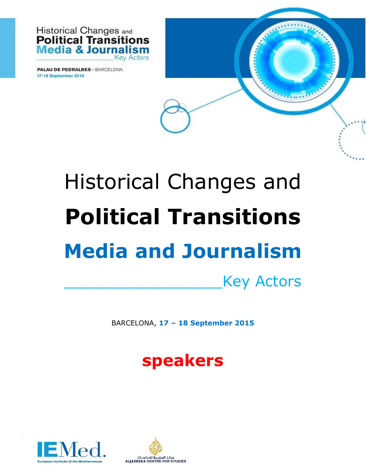

**PALAU DE PEDRALBES - BARCELONA** 17-18 September 2015

# Historical Changes and **Political Transitions Media and Journalism**

\_\_\_\_\_\_\_\_\_\_\_\_\_\_\_\_\_Key Actors

BARCELONA, **17 – 18 September 2015**

### **speakers**



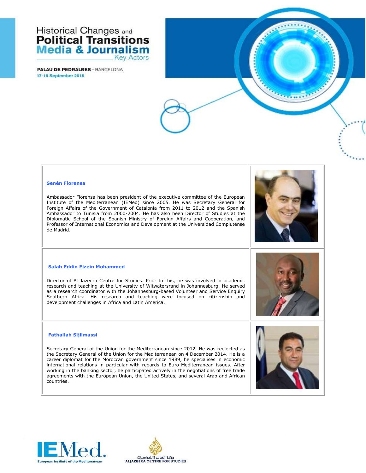**PALAU DE PEDRALBES - BARCELONA** 17-18 September 2015



#### **Senén Florensa**

Ambassador Florensa has been president of the executive committee of the European Institute of the Mediterranean (IEMed) since 2005. He was Secretary General for Foreign Affairs of the Government of Catalonia from 2011 to 2012 and the Spanish Ambassador to Tunisia from 2000-2004. He has also been Director of Studies at the Diplomatic School of the Spanish Ministry of Foreign Affairs and Cooperation, and Professor of International Economics and Development at the Universidad Complutense de Madrid.

#### **Salah Eddin Elzein Mohammed**

Director of Al Jazeera Centre for Studies. Prior to this, he was involved in academic research and teaching at the University of Witwatersrand in Johannesburg. He served as a research coordinator with the Johannesburg-based Volunteer and Service Enquiry Southern Africa. His research and teaching were focused on citizenship and development challenges in Africa and Latin America.

### **Fathallah Sijilmassi**

Secretary General of the Union for the Mediterranean since 2012. He was reelected as the Secretary General of the Union for the Mediterranean on 4 December 2014. He is a career diplomat for the Moroccan government since 1989, he specialises in economic international relations in particular with regards to Euro-Mediterranean issues. After working in the banking sector, he participated actively in the negotiations of free trade agreements with the European Union, the United States, and several Arab and African countries.





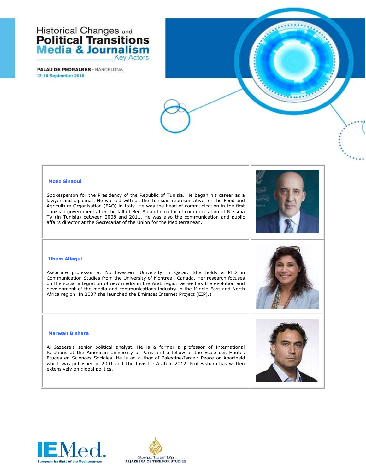**PALAU DE PEDRALBES - BARCELONA** 17-18 September 2015



### **Moez Sinaoui**

Spokesperson for the Presidency of the Republic of Tunisia. He began his career as a lawyer and diplomat. He worked with as the Tunisian representative for the Food and Agriculture Organisation (FAO) in Italy. He was the head of communication in the first Tunisian government after the fall of Ben Ali and director of communication at Nessma TV (in Tunisia) between 2008 and 2011. He was also the communication and public affairs director at the Secretariat of the Union for the Mediterranean.

#### **Ilhem Allagui**

Associate professor at Northwestern University in Qatar. She holds a PhD in Communication Studies from the University of Montreal, Canada. Her research focuses on the social integration of new media in the Arab region as well as the evolution and development of the media and communications industry in the Middle East and North Africa region. In 2007 she launched the Emirates Internet Project (EIP).)



#### **Marwan Bishara**

Al Jazeera's senior political analyst. He is a former a professor of International Relations at the American University of Paris and a fellow at the Ecole des Hautes Etudes en Sciences Sociales. He is an author of Palestine/Israel: Peace or Apartheid which was published in 2001 and The Invisible Arab in 2012. Prof Bishara has written extensively on global politics.



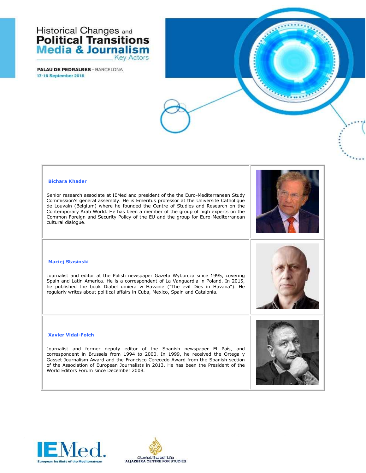**PALAU DE PEDRALBES - BARCELONA** 17-18 September 2015



### **Bichara Khader**

Senior research associate at IEMed and president of the the Euro-Mediterranean Study Commission's general assembly. He is Emeritus professor at the Université Catholique de Louvain (Belgium) where he founded the Centre of Studies and Research on the Contemporary Arab World. He has been a member of the group of high experts on the Common Foreign and Security Policy of the EU and the group for Euro-Mediterranean cultural dialogue.

#### **Maciej Stasinski**

Journalist and editor at the Polish newspaper Gazeta Wyborcza since 1995, covering Spain and Latin America. He is a correspondent of La Vanguardia in Poland. In 2015, he published the book Diabel umiera w Havanie ("The evil Dies in Havana"). He regularly writes about political affairs in Cuba, Mexico, Spain and Catalonia.

#### **Xavier Vidal-Folch**

Journalist and former deputy editor of the Spanish newspaper El País, and correspondent in Brussels from 1994 to 2000. In 1999, he received the Ortega y Gasset Journalism Award and the Francisco Cerecedo Award from the Spanish section of the Association of European Journalists in 2013. He has been the President of the World Editors Forum since December 2008.





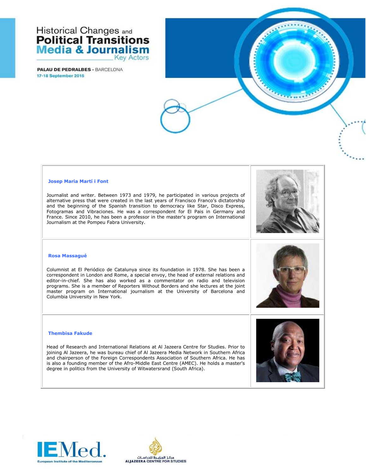**PALAU DE PEDRALBES - BARCELONA** 17-18 September 2015

#### **Josep Maria Martí i Font**

Journalist and writer. Between 1973 and 1979, he participated in various projects of alternative press that were created in the last years of Francisco Franco's dictatorship and the beginning of the Spanish transition to democracy like Star, Disco Express, Fotogramas and Vibraciones. He was a correspondent for El Pais in Germany and France. Since 2010, he has been a professor in the master's program on International Journalism at the Pompeu Fabra University.



#### **Rosa Massagué**

Columnist at El Periódico de Catalunya since its foundation in 1978. She has been a correspondent in London and Rome, a special envoy, the head of external relations and editor-in-chief. She has also worked as a commentator on radio and television programs. She is a member of Reporters Without Borders and she lectures at the joint master program on International journalism at the University of Barcelona and Columbia University in New York.

#### **Thembisa Fakude**

Head of Research and International Relations at Al Jazeera Centre for Studies. Prior to joining Al Jazeera, he was bureau chief of Al Jazeera Media Network in Southern Africa and chairperson of the Foreign Correspondents Association of Southern Africa. He has is also a founding member of the Afro-Middle East Centre (AMEC). He holds a master's degree in politics from the University of Witwatersrand (South Africa).





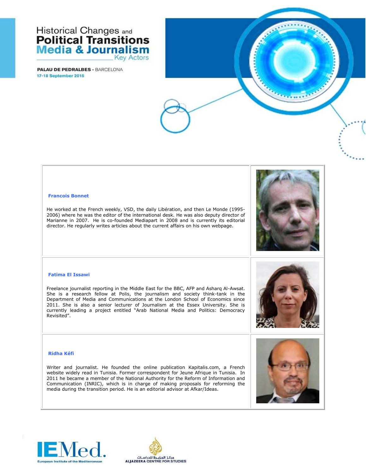**PALAU DE PEDRALBES - BARCELONA** 17-18 September 2015



#### **Francois Bonnet**

He worked at the French weekly, VSD, the daily Libération, and then Le Monde (1995- 2006) where he was the editor of the international desk. He was also deputy director of Marianne in 2007. He is co-founded Mediapart in 2008 and is currently its editorial director. He regularly writes articles about the current affairs on his own webpage.

#### **Fatima El Issawi**

Freelance journalist reporting in the Middle East for the BBC, AFP and Asharq Al-Awsat. She is a research fellow at Polis, the journalism and society think-tank in the Department of Media and Communications at the London School of Economics since 2011. She is also a senior lecturer of Journalism at the Essex University. She is currently leading a project entitled "Arab National Media and Politics: Democracy Revisited".

#### **Ridha Kéfi**

Writer and journalist. He founded the online publication Kapitalis.com, a French website widely read in Tunisia. Former correspondent for Jeune Afrique in Tunisia. In 2011 he became a member of the National Authority for the Reform of Information and Communication (INRIC), which is in charge of making proposals for reforming the media during the transition period. He is an editorial advisor at Afkar/Ideas.



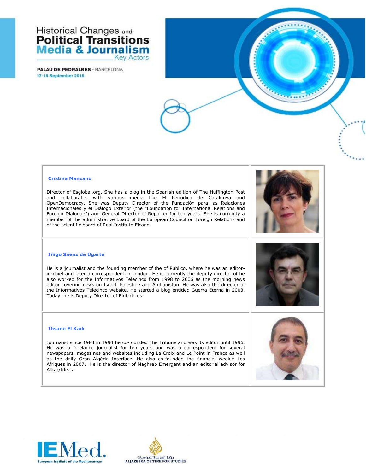**PALAU DE PEDRALBES - BARCELONA** 17-18 September 2015

#### **Cristina Manzano**

Director of Esglobal.org. She has a blog in the Spanish edition of The Huffington Post and collaborates with various media like El Periódico de Catalunya and OpenDemocracy. She was Deputy Director of the Fundación para las Relaciones Internacionales y el Diálogo Exterior (the "Foundation for International Relations and Foreign Dialogue") and General Director of Reporter for ten years. She is currently a member of the administrative board of the European Council on Foreign Relations and of the scientific board of Real Instituto Elcano.



#### **Iñigo Sáenz de Ugarte**

He is a journalist and the founding member of the of Público, where he was an editorin-chief and later a correspondent in London. He is currently the deputy director of he also worked for the Informativos Telecinco from 1998 to 2006 as the morning news editor covering news on Israel, Palestine and Afghanistan. He was also the director of the Informativos Telecinco website. He started a blog entitled Guerra Eterna in 2003. Today, he is Deputy Director of Eldiario.es.

#### **Ihsane El Kadi**

Journalist since 1984 in 1994 he co-founded The Tribune and was its editor until 1996. He was a freelance journalist for ten years and was a correspondent for several newspapers, magazines and websites including La Croix and Le Point in France as well as the daily Oran Algéria Interface. He also co-founded the financial weekly Les Afriques in 2007. He is the director of Maghreb Emergent and an editorial advisor for Afkar/Ideas.





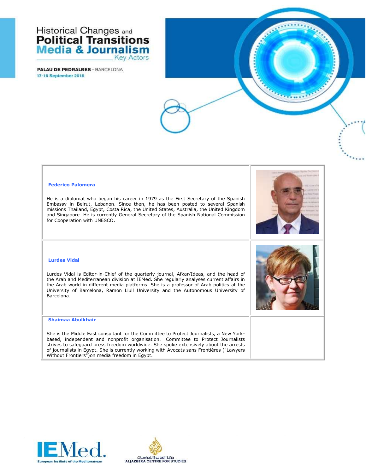**PALAU DE PEDRALBES - BARCELONA** 17-18 September 2015





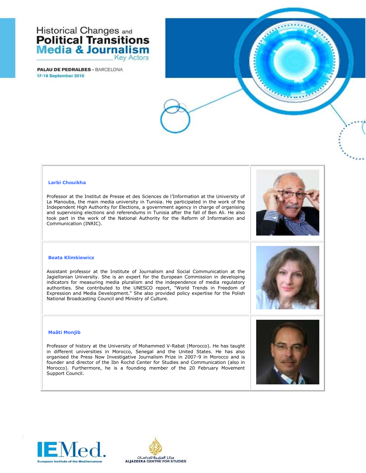**PALAU DE PEDRALBES - BARCELONA** 17-18 September 2015



#### **Larbi Chouikha**

Professor at the Institut de Presse et des Sciences de l'Information at the University of La Manouba, the main media university in Tunisia. He participated in the work of the Independent High Authority for Elections, a government agency in charge of organising and supervising elections and referendums in Tunisia after the fall of Ben Ali. He also took part in the work of the National Authority for the Reform of Information and Communication (INRIC).

#### **Beata Klimkiewicz**

Assistant professor at the Institute of Journalism and Social Communication at the Jagiellonian University. She is an expert for the European Commission in developing indicators for measuring media pluralism and the independence of media regulatory authorities. She contributed to the UNESCO report, "World Trends in Freedom of Expression and Media Development." She also provided policy expertise for the Polish National Broadcasting Council and Ministry of Culture.

### **Maâti Monjib**

Professor of history at the University of Mohammed V-Rabat (Morocco). He has taught in different universities in Morocco, Senegal and the United States. He has also organised the Press Now Investigative Journalism Prize in 2007-9 in Morocco and is founder and director of the Ibn Rochd Center for Studies and Communication (also in Morocco). Furthermore, he is a founding member of the 20 February Movement Support Council.





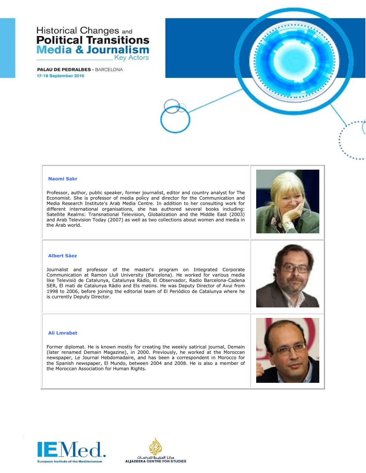**PALAU DE PEDRALBES - BARCELONA** 17-18 September 2015



#### **Naomi Sakr**

Professor, author, public speaker, former journalist, editor and country analyst for The Economist. She is professor of media policy and director for the Communication and Media Research Institute's Arab Media Centre. In addition to her consulting work for different international organisations, she has authored several books including: Satellite Realms: Transnational Television, Globalization and the Middle East (2003) and Arab Television Today (2007) as well as two collections about women and media in the Arab world.

#### **Albert Sáez**

Journalist and professor of the master's program on Integrated Corporate Communication at Ramon Llull University (Barcelona). He worked for various media like Televisió de Catalunya, Catalunya Ràdio, El Observador, Radio Barcelona-Cadena SER, El matí de Catalunya Ràdio and Els matins. He was Deputy Director of Avui from 1998 to 2006, before joining the editorial team of El Periódico de Catalunya where he is currently Deputy Director.

#### **Ali Lmrabet**

Former diplomat. He is known mostly for creating the weekly satirical journal, Demain (later renamed Demain Magazine), in 2000. Previously, he worked at the Moroccan newspaper, Le Journal Hebdomadaire, and has been a correspondent in Morocco for the Spanish newspaper, El Mundo, between 2004 and 2008. He is also a member of the Moroccan Association for Human Rights.





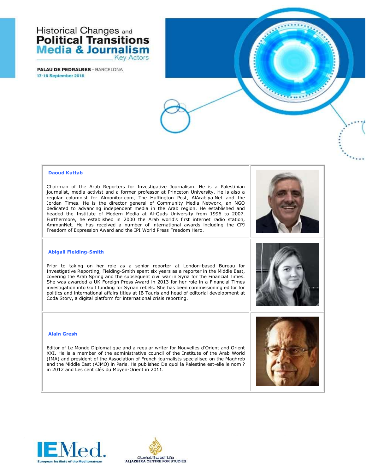**PALAU DE PEDRALBES - BARCELONA** 17-18 September 2015

#### **Daoud Kuttab**

Chairman of the Arab Reporters for Investigative Journalism. He is a Palestinian journalist, media activist and a former professor at Princeton University. He is also a regular columnist for Almonitor.com, The Huffington Post, AlArabiya.Net and the Jordan Times. He is the director general of Community Media Network, an NGO dedicated to advancing independent media in the Arab region. He established and headed the Institute of Modern Media at Al-Quds University from 1996 to 2007. Furthermore, he established in 2000 the Arab world's first internet radio station, AmmanNet. He has received a number of international awards including the CPJ Freedom of Expression Award and the IPI World Press Freedom Hero.



#### **Abigail Fielding-Smith**

Prior to taking on her role as a senior reporter at London-based Bureau for Investigative Reporting, Fielding-Smith spent six years as a reporter in the Middle East, covering the Arab Spring and the subsequent civil war in Syria for the Financial Times. She was awarded a UK Foreign Press Award in 2013 for her role in a Financial Times investigation into Gulf funding for Syrian rebels. She has been commissioning editor for politics and international affairs titles at IB Tauris and head of editorial development at Coda Story, a digital platform for international crisis reporting.

#### **Alain Gresh**

Editor of Le Monde Diplomatique and a regular writer for Nouvelles d'Orient and Orient XXI. He is a member of the administrative council of the Institute of the Arab World (IMA) and president of the Association of French journalists specialised on the Maghreb and the Middle East (AJMO) in Paris. He published De quoi la Palestine est-elle le nom ? in 2012 and Les cent clés du Moyen-Orient in 2011.



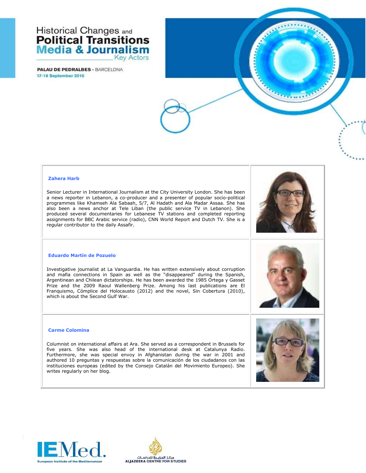**PALAU DE PEDRALBES - BARCELONA** 17-18 September 2015

#### **Zahera Harb**

Senior Lecturer in International Journalism at the City University London. She has been a news reporter in Lebanon, a co-producer and a presenter of popular socio-political programmes like Khamseh Ala Sabaah, 5/7, Al Hadath and Ala Madar Assaa. She has also been a news anchor at Tele Liban (the public service TV in Lebanon). She produced several documentaries for Lebanese TV stations and completed reporting assignments for BBC Arabic service (radio), CNN World Report and Dutch TV. She is a regular contributor to the daily Assafir.



#### **Eduardo Martín de Pozuelo**

Investigative journalist at La Vanguardia. He has written extensively about corruption and mafia connections in Spain as well as the "disappeared" during the Spanish, Argentinean and Chilean dictatorships. He has been awarded the 1985 Ortega y Gasset Prize and the 2009 Raoul Wallenberg Prize. Among his last publications are El Franquismo, Cómplice del Holocausto (2012) and the novel, Sin Cobertura (2010), which is about the Second Gulf War.

#### **Carme Colomina**

Columnist on international affairs at Ara. She served as a correspondent in Brussels for five years. She was also head of the international desk at Catalunya Radio. Furthermore, she was special envoy in Afghanistan during the war in 2001 and authored 10 preguntas y respuestas sobre la comunicación de los ciudadanos con las instituciones europeas (edited by the Consejo Catalán del Movimiento Europeo). She writes regularly on her blog.







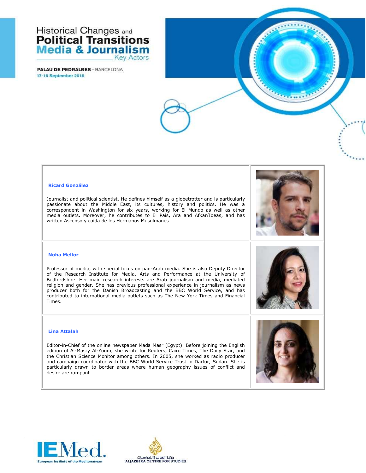**PALAU DE PEDRALBES - BARCELONA** 17-18 September 2015



#### **Ricard González**

Journalist and political scientist. He defines himself as a globetrotter and is particularly passionate about the Middle East, its cultures, history and politics. He was a correspondent in Washington for six years, working for El Mundo as well as other media outlets. Moreover, he contributes to El País, Ara and Afkar/Ideas, and has written Ascenso y caída de los Hermanos Musulmanes.

#### **Noha Mellor**

Professor of media, with special focus on pan-Arab media. She is also Deputy Director of the Research Institute for Media, Arts and Performance at the University of Bedfordshire. Her main research interests are Arab journalism and media, mediated religion and gender. She has previous professional experience in journalism as news producer both for the Danish Broadcasting and the BBC World Service, and has contributed to international media outlets such as The New York Times and Financial Times.

#### **Lina Attalah**

Editor-in-Chief of the online newspaper Mada Masr (Egypt). Before joining the English edition of Al-Masry Al-Youm, she wrote for Reuters, Cairo Times, The Daily Star, and the Christian Science Monitor among others. In 2005, she worked as radio producer and campaign coordinator with the BBC World Service Trust in Darfur, Sudan. She is particularly drawn to border areas where human geography issues of conflict and desire are rampant.







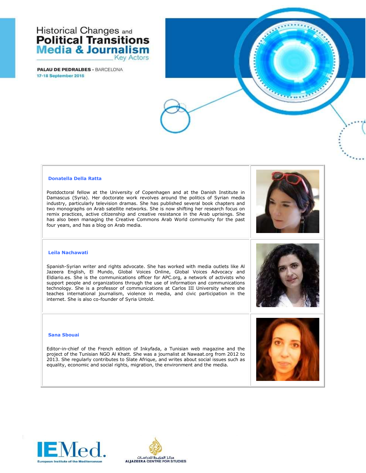**PALAU DE PEDRALBES - BARCELONA** 17-18 September 2015

#### **Donatella Della Ratta**

Postdoctoral fellow at the University of Copenhagen and at the Danish Institute in Damascus (Syria). Her doctorate work revolves around the politics of Syrian media industry, particularly television dramas. She has published several book chapters and two monographs on Arab satellite networks. She is now shifting her research focus on remix practices, active citizenship and creative resistance in the Arab uprisings. She has also been managing the Creative Commons Arab World community for the past four years, and has a blog on Arab media.



#### **Leila Nachawati**

Spanish-Syrian writer and rights advocate. She has worked with media outlets like Al Jazeera English, El Mundo, Global Voices Online, Global Voices Advocacy and Eldiario.es. She is the communications officer for APC.org, a network of activists who support people and organizations through the use of information and communications technology. She is a professor of communications at Carlos III University where she teaches international journalism, violence in media, and civic participation in the internet. She is also co-founder of Syria Untold.

### **Sana Sbouai**

Editor-in-chief of the French edition of Inkyfada, a Tunisian web magazine and the project of the Tunisian NGO Al Khatt. She was a journalist at Nawaat.org from 2012 to 2013. She regularly contributes to Slate Afrique, and writes about social issues such as equality, economic and social rights, migration, the environment and the media.